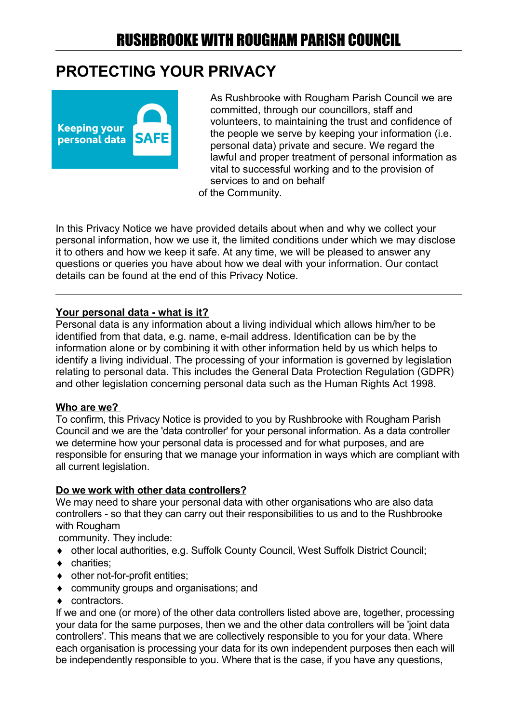### **PROTECTING YOUR PRIVACY**



As Rushbrooke with Rougham Parish Council we are committed, through our councillors, staff and volunteers, to maintaining the trust and confidence of the people we serve by keeping your information (i.e. personal data) private and secure. We regard the lawful and proper treatment of personal information as vital to successful working and to the provision of services to and on behalf of the Community.

In this Privacy Notice we have provided details about when and why we collect your personal information, how we use it, the limited conditions under which we may disclose it to others and how we keep it safe. At any time, we will be pleased to answer any questions or queries you have about how we deal with your information. Our contact details can be found at the end of this Privacy Notice.

#### **Your personal data - what is it?**

Personal data is any information about a living individual which allows him/her to be identified from that data, e.g. name, e-mail address. Identification can be by the information alone or by combining it with other information held by us which helps to identify a living individual. The processing of your information is governed by legislation relating to personal data. This includes the General Data Protection Regulation (GDPR) and other legislation concerning personal data such as the Human Rights Act 1998.

#### **Who are we?**

To confirm, this Privacy Notice is provided to you by Rushbrooke with Rougham Parish Council and we are the 'data controller' for your personal information. As a data controller we determine how your personal data is processed and for what purposes, and are responsible for ensuring that we manage your information in ways which are compliant with all current legislation.

#### **Do we work with other data controllers?**

We may need to share your personal data with other organisations who are also data controllers - so that they can carry out their responsibilities to us and to the Rushbrooke with Rougham

community. They include:

- ◆ other local authorities, e.g. Suffolk County Council, West Suffolk District Council:
- charities:
- other not-for-profit entities;
- community groups and organisations; and
- ◆ contractors.

If we and one (or more) of the other data controllers listed above are, together, processing your data for the same purposes, then we and the other data controllers will be 'joint data controllers'. This means that we are collectively responsible to you for your data. Where each organisation is processing your data for its own independent purposes then each will be independently responsible to you. Where that is the case, if you have any questions,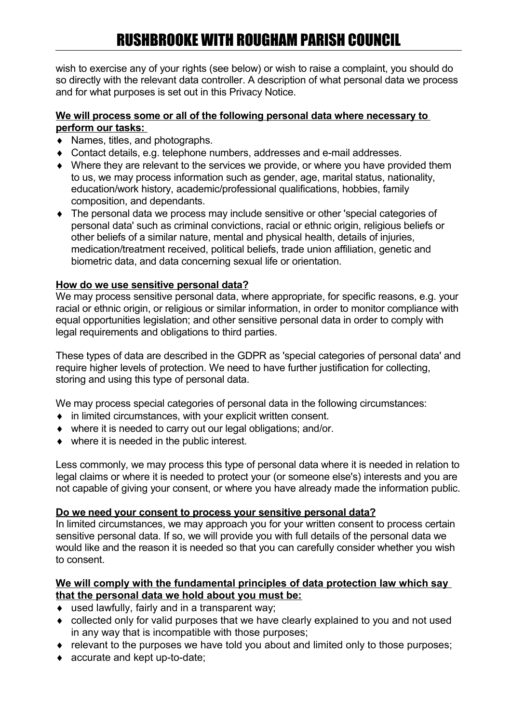wish to exercise any of your rights (see below) or wish to raise a complaint, you should do so directly with the relevant data controller. A description of what personal data we process and for what purposes is set out in this Privacy Notice.

#### **We will process some or all of the following personal data where necessary to perform our tasks:**

- ◆ Names, titles, and photographs.
- Contact details, e.g. telephone numbers, addresses and e-mail addresses.
- Where they are relevant to the services we provide, or where you have provided them to us, we may process information such as gender, age, marital status, nationality, education/work history, academic/professional qualifications, hobbies, family composition, and dependants.
- The personal data we process may include sensitive or other 'special categories of personal data' such as criminal convictions, racial or ethnic origin, religious beliefs or other beliefs of a similar nature, mental and physical health, details of injuries, medication/treatment received, political beliefs, trade union affiliation, genetic and biometric data, and data concerning sexual life or orientation.

### **How do we use sensitive personal data?**

We may process sensitive personal data, where appropriate, for specific reasons, e.g. your racial or ethnic origin, or religious or similar information, in order to monitor compliance with equal opportunities legislation; and other sensitive personal data in order to comply with legal requirements and obligations to third parties.

These types of data are described in the GDPR as 'special categories of personal data' and require higher levels of protection. We need to have further justification for collecting, storing and using this type of personal data.

We may process special categories of personal data in the following circumstances:

- $\bullet$  in limited circumstances, with your explicit written consent.
- where it is needed to carry out our legal obligations; and/or.
- ◆ where it is needed in the public interest.

Less commonly, we may process this type of personal data where it is needed in relation to legal claims or where it is needed to protect your (or someone else's) interests and you are not capable of giving your consent, or where you have already made the information public.

#### **Do we need your consent to process your sensitive personal data?**

In limited circumstances, we may approach you for your written consent to process certain sensitive personal data. If so, we will provide you with full details of the personal data we would like and the reason it is needed so that you can carefully consider whether you wish to consent.

#### **We will comply with the fundamental principles of data protection law which say that the personal data we hold about you must be:**

- ◆ used lawfully, fairly and in a transparent way:
- collected only for valid purposes that we have clearly explained to you and not used in any way that is incompatible with those purposes;
- relevant to the purposes we have told you about and limited only to those purposes;
- ◆ accurate and kept up-to-date;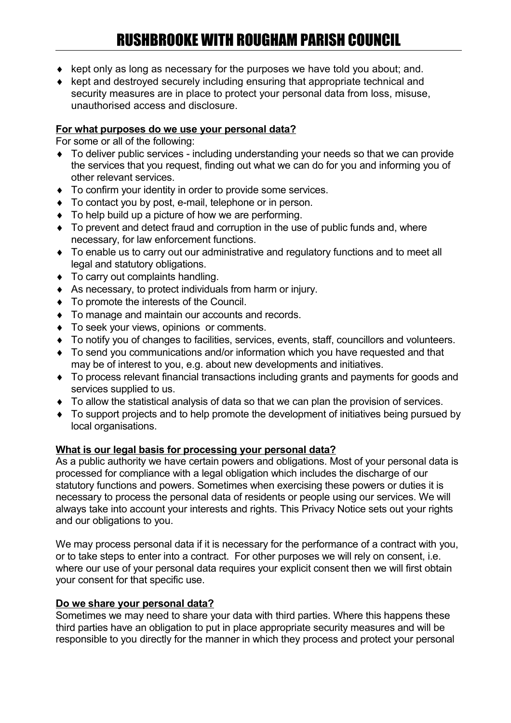- $\bullet$  kept only as long as necessary for the purposes we have told you about; and.
- $\bullet$  kept and destroyed securely including ensuring that appropriate technical and security measures are in place to protect your personal data from loss, misuse, unauthorised access and disclosure.

#### **For what purposes do we use your personal data?**

For some or all of the following:

- To deliver public services including understanding your needs so that we can provide the services that you request, finding out what we can do for you and informing you of other relevant services.
- To confirm your identity in order to provide some services.
- ◆ To contact you by post, e-mail, telephone or in person.
- $\bullet$  To help build up a picture of how we are performing.
- To prevent and detect fraud and corruption in the use of public funds and, where necessary, for law enforcement functions.
- ◆ To enable us to carry out our administrative and regulatory functions and to meet all legal and statutory obligations.
- ◆ To carry out complaints handling.
- As necessary, to protect individuals from harm or injury.
- $\bullet$  To promote the interests of the Council.
- $\bullet$  To manage and maintain our accounts and records.
- $\bullet$  To seek your views, opinions or comments.
- To notify you of changes to facilities, services, events, staff, councillors and volunteers.
- To send you communications and/or information which you have requested and that may be of interest to you, e.g. about new developments and initiatives.
- To process relevant financial transactions including grants and payments for goods and services supplied to us.
- To allow the statistical analysis of data so that we can plan the provision of services.
- To support projects and to help promote the development of initiatives being pursued by local organisations.

#### **What is our legal basis for processing your personal data?**

As a public authority we have certain powers and obligations. Most of your personal data is processed for compliance with a legal obligation which includes the discharge of our statutory functions and powers. Sometimes when exercising these powers or duties it is necessary to process the personal data of residents or people using our services. We will always take into account your interests and rights. This Privacy Notice sets out your rights and our obligations to you.

We may process personal data if it is necessary for the performance of a contract with you, or to take steps to enter into a contract. For other purposes we will rely on consent, i.e. where our use of your personal data requires your explicit consent then we will first obtain your consent for that specific use.

#### **Do we share your personal data?**

Sometimes we may need to share your data with third parties. Where this happens these third parties have an obligation to put in place appropriate security measures and will be responsible to you directly for the manner in which they process and protect your personal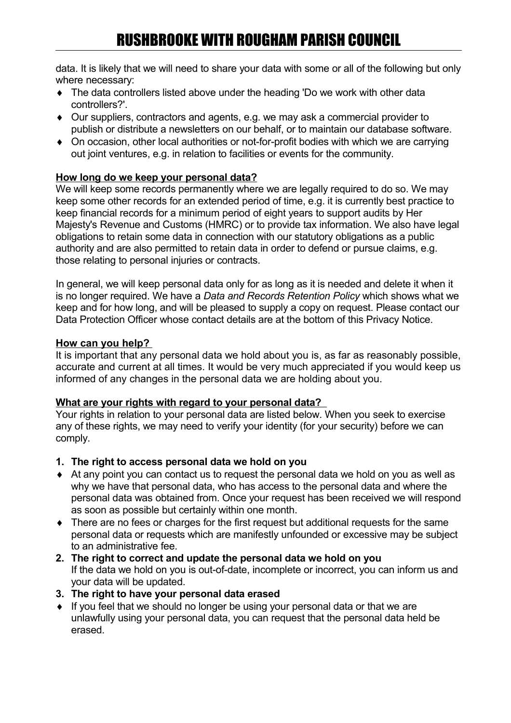data. It is likely that we will need to share your data with some or all of the following but only where necessary:

- The data controllers listed above under the heading 'Do we work with other data controllers?'.
- Our suppliers, contractors and agents, e.g. we may ask a commercial provider to publish or distribute a newsletters on our behalf, or to maintain our database software.
- On occasion, other local authorities or not-for-profit bodies with which we are carrying out joint ventures, e.g. in relation to facilities or events for the community.

### **How long do we keep your personal data?**

We will keep some records permanently where we are legally required to do so. We may keep some other records for an extended period of time, e.g. it is currently best practice to keep financial records for a minimum period of eight years to support audits by Her Majesty's Revenue and Customs (HMRC) or to provide tax information. We also have legal obligations to retain some data in connection with our statutory obligations as a public authority and are also permitted to retain data in order to defend or pursue claims, e.g. those relating to personal injuries or contracts.

In general, we will keep personal data only for as long as it is needed and delete it when it is no longer required. We have a *Data and Records Retention Policy* which shows what we keep and for how long, and will be pleased to supply a copy on request. Please contact our Data Protection Officer whose contact details are at the bottom of this Privacy Notice.

### **How can you help?**

It is important that any personal data we hold about you is, as far as reasonably possible, accurate and current at all times. It would be very much appreciated if you would keep us informed of any changes in the personal data we are holding about you.

### **What are your rights with regard to your personal data?**

Your rights in relation to your personal data are listed below. When you seek to exercise any of these rights, we may need to verify your identity (for your security) before we can comply.

- **1. The right to access personal data we hold on you**
- At any point you can contact us to request the personal data we hold on you as well as why we have that personal data, who has access to the personal data and where the personal data was obtained from. Once your request has been received we will respond as soon as possible but certainly within one month.
- There are no fees or charges for the first request but additional requests for the same personal data or requests which are manifestly unfounded or excessive may be subject to an administrative fee.
- **2. The right to correct and update the personal data we hold on you** If the data we hold on you is out-of-date, incomplete or incorrect, you can inform us and your data will be updated.
- **3. The right to have your personal data erased**
- If you feel that we should no longer be using your personal data or that we are unlawfully using your personal data, you can request that the personal data held be erased.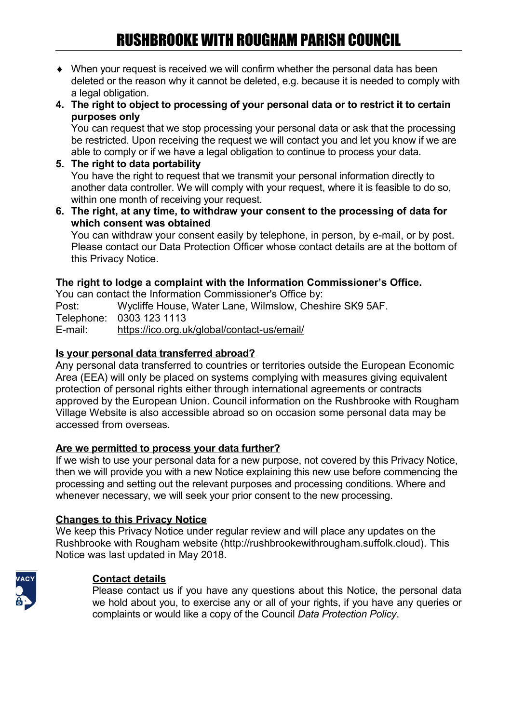- When your request is received we will confirm whether the personal data has been deleted or the reason why it cannot be deleted, e.g. because it is needed to comply with a legal obligation.
- **4. The right to object to processing of your personal data or to restrict it to certain purposes only**

You can request that we stop processing your personal data or ask that the processing be restricted. Upon receiving the request we will contact you and let you know if we are able to comply or if we have a legal obligation to continue to process your data.

**5. The right to data portability**

You have the right to request that we transmit your personal information directly to another data controller. We will comply with your request, where it is feasible to do so, within one month of receiving your request.

**6. The right, at any time, to withdraw your consent to the processing of data for which consent was obtained**

You can withdraw your consent easily by telephone, in person, by e-mail, or by post. Please contact our Data Protection Officer whose contact details are at the bottom of this Privacy Notice.

#### **The right to lodge a complaint with the Information Commissioner's Office.**

You can contact the Information Commissioner's Office by: Post: Wycliffe House, Water Lane, Wilmslow, Cheshire SK9 5AF. Telephone: 0303 123 1113 E-mail: <https://ico.org.uk/global/contact-us/email/>

#### **Is your personal data transferred abroad?**

Any personal data transferred to countries or territories outside the European Economic Area (EEA) will only be placed on systems complying with measures giving equivalent protection of personal rights either through international agreements or contracts approved by the European Union. Council information on the Rushbrooke with Rougham Village Website is also accessible abroad so on occasion some personal data may be accessed from overseas.

#### **Are we permitted to process your data further?**

If we wish to use your personal data for a new purpose, not covered by this Privacy Notice, then we will provide you with a new Notice explaining this new use before commencing the processing and setting out the relevant purposes and processing conditions. Where and whenever necessary, we will seek your prior consent to the new processing.

#### **Changes to this Privacy Notice**

We keep this Privacy Notice under regular review and will place any updates on the Rushbrooke with Rougham website (http://rushbrookewithrougham.suffolk.cloud). This Notice was last updated in May 2018.



#### **Contact details**

Please contact us if you have any questions about this Notice, the personal data we hold about you, to exercise any or all of your rights, if you have any queries or complaints or would like a copy of the Council *Data Protection Policy*.